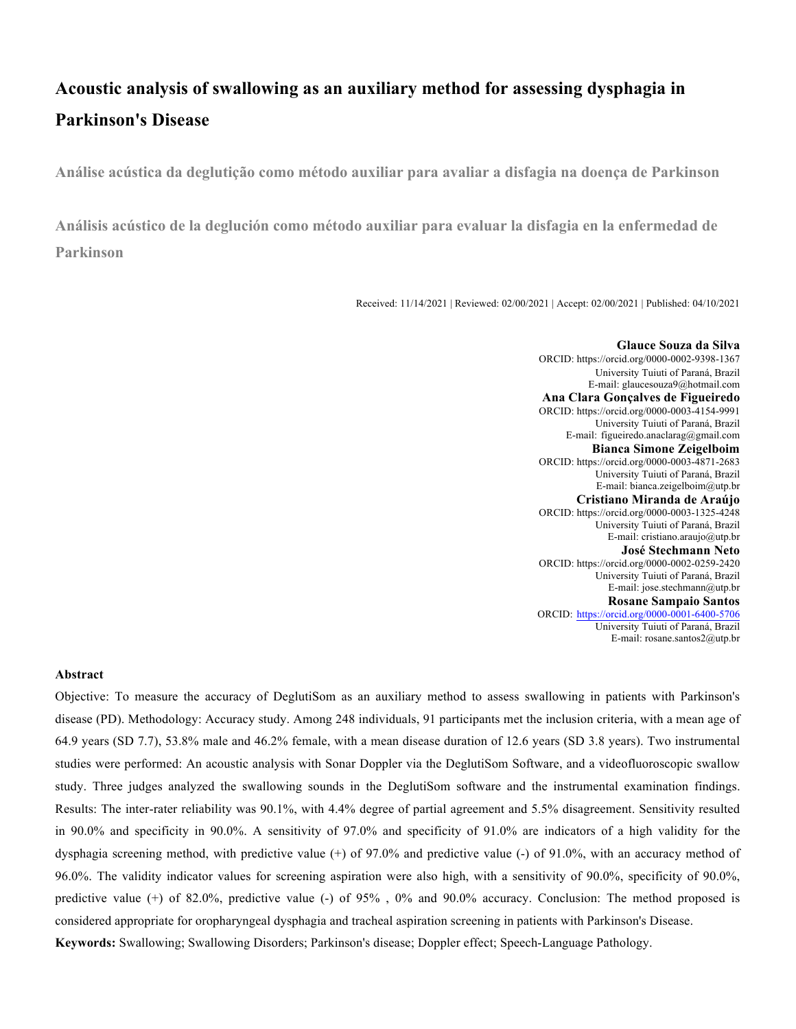# **Acoustic analysis of swallowing as an auxiliary method for assessing dysphagia in Parkinson's Disease**

**Análise acústica da deglutição como método auxiliar para avaliar a disfagia na doença de Parkinson**

**Análisis acústico de la deglución como método auxiliar para evaluar la disfagia en la enfermedad de Parkinson**

Received: 11/14/2021 | Reviewed: 02/00/2021 | Accept: 02/00/2021 | Published: 04/10/2021

**Glauce Souza da Silva** ORCID: https://orcid.org/0000-0002-9398-1367 University Tuiuti of Paraná, Brazil E-mail: glaucesouza9@hotmail.com **Ana Clara Gonçalves de Figueiredo** ORCID: https://orcid.org/0000-0003-4154-9991 University Tuiuti of Paraná, Brazil E-mail: figueiredo.anaclarag@gmail.com **Bianca Simone Zeigelboim** ORCID: https://orcid.org/0000-0003-4871-2683 University Tuiuti of Paraná, Brazil E-mail: bianca.zeigelboim@utp.br **Cristiano Miranda de Araújo** ORCID: https://orcid.org/0000-0003-1325-4248 University Tuiuti of Paraná, Brazil E-mail: cristiano.araujo@utp.br **José Stechmann Neto** ORCID: https://orcid.org/0000-0002-0259-2420 University Tuiuti of Paraná, Brazil E-mail: jose.stechmann@utp.br **Rosane Sampaio Santos** ORCID: https://orcid.org/0000-0001-6400-5706 University Tuiuti of Paraná, Brazil E-mail: rosane.santos2@utp.br

#### **Abstract**

Objective: To measure the accuracy of DeglutiSom as an auxiliary method to assess swallowing in patients with Parkinson's disease (PD). Methodology: Accuracy study. Among 248 individuals, 91 participants met the inclusion criteria, with a mean age of 64.9 years (SD 7.7), 53.8% male and 46.2% female, with a mean disease duration of 12.6 years (SD 3.8 years). Two instrumental studies were performed: An acoustic analysis with Sonar Doppler via the DeglutiSom Software, and a videofluoroscopic swallow study. Three judges analyzed the swallowing sounds in the DeglutiSom software and the instrumental examination findings. Results: The inter-rater reliability was 90.1%, with 4.4% degree of partial agreement and 5.5% disagreement. Sensitivity resulted in 90.0% and specificity in 90.0%. A sensitivity of 97.0% and specificity of 91.0% are indicators of a high validity for the dysphagia screening method, with predictive value (+) of 97.0% and predictive value (-) of 91.0%, with an accuracy method of 96.0%. The validity indicator values for screening aspiration were also high, with a sensitivity of 90.0%, specificity of 90.0%, predictive value (+) of 82.0%, predictive value (-) of 95% , 0% and 90.0% accuracy. Conclusion: The method proposed is considered appropriate for oropharyngeal dysphagia and tracheal aspiration screening in patients with Parkinson's Disease. **Keywords:** Swallowing; Swallowing Disorders; Parkinson's disease; Doppler effect; Speech-Language Pathology.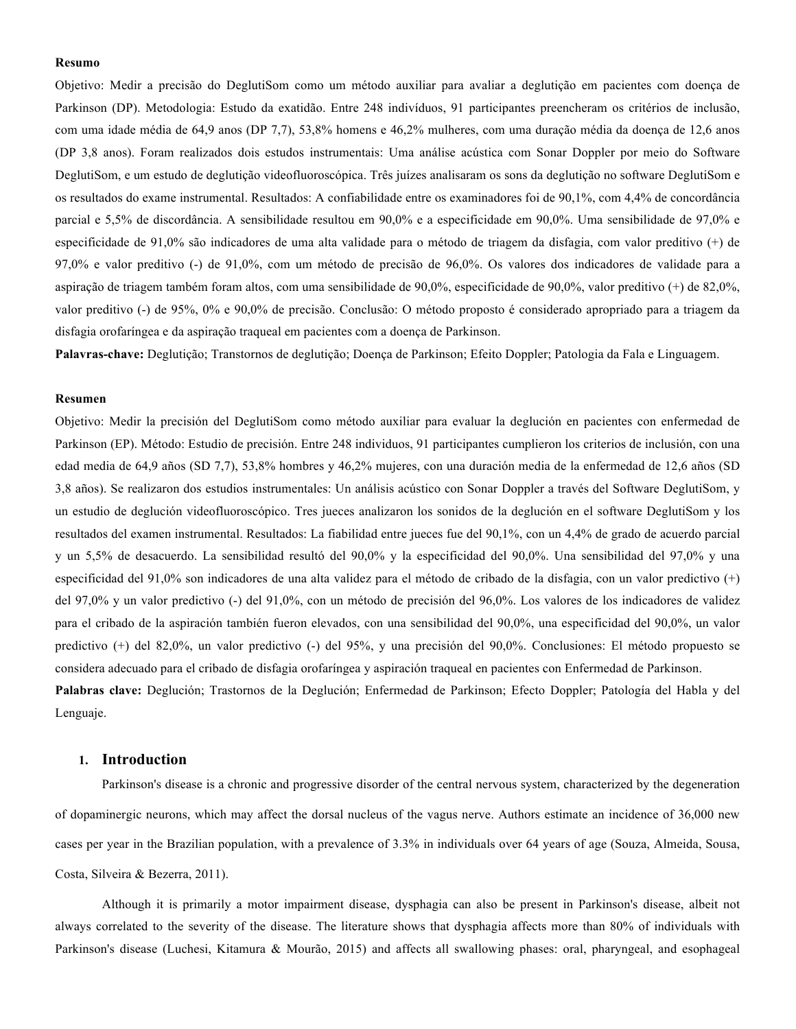#### **Resumo**

Objetivo: Medir a precisão do DeglutiSom como um método auxiliar para avaliar a deglutição em pacientes com doença de Parkinson (DP). Metodologia: Estudo da exatidão. Entre 248 indivíduos, 91 participantes preencheram os critérios de inclusão, com uma idade média de 64,9 anos (DP 7,7), 53,8% homens e 46,2% mulheres, com uma duração média da doença de 12,6 anos (DP 3,8 anos). Foram realizados dois estudos instrumentais: Uma análise acústica com Sonar Doppler por meio do Software DeglutiSom, e um estudo de deglutição videofluoroscópica. Três juízes analisaram os sons da deglutição no software DeglutiSom e os resultados do exame instrumental. Resultados: A confiabilidade entre os examinadores foi de 90,1%, com 4,4% de concordância parcial e 5,5% de discordância. A sensibilidade resultou em 90,0% e a especificidade em 90,0%. Uma sensibilidade de 97,0% e especificidade de 91,0% são indicadores de uma alta validade para o método de triagem da disfagia, com valor preditivo (+) de 97,0% e valor preditivo (-) de 91,0%, com um método de precisão de 96,0%. Os valores dos indicadores de validade para a aspiração de triagem também foram altos, com uma sensibilidade de 90,0%, especificidade de 90,0%, valor preditivo (+) de 82,0%, valor preditivo (-) de 95%, 0% e 90,0% de precisão. Conclusão: O método proposto é considerado apropriado para a triagem da disfagia orofaríngea e da aspiração traqueal em pacientes com a doença de Parkinson.

**Palavras-chave:** Deglutição; Transtornos de deglutição; Doença de Parkinson; Efeito Doppler; Patologia da Fala e Linguagem.

### **Resumen**

Objetivo: Medir la precisión del DeglutiSom como método auxiliar para evaluar la deglución en pacientes con enfermedad de Parkinson (EP). Método: Estudio de precisión. Entre 248 individuos, 91 participantes cumplieron los criterios de inclusión, con una edad media de 64,9 años (SD 7,7), 53,8% hombres y 46,2% mujeres, con una duración media de la enfermedad de 12,6 años (SD 3,8 años). Se realizaron dos estudios instrumentales: Un análisis acústico con Sonar Doppler a través del Software DeglutiSom, y un estudio de deglución videofluoroscópico. Tres jueces analizaron los sonidos de la deglución en el software DeglutiSom y los resultados del examen instrumental. Resultados: La fiabilidad entre jueces fue del 90,1%, con un 4,4% de grado de acuerdo parcial y un 5,5% de desacuerdo. La sensibilidad resultó del 90,0% y la especificidad del 90,0%. Una sensibilidad del 97,0% y una especificidad del 91,0% son indicadores de una alta validez para el método de cribado de la disfagia, con un valor predictivo (+) del 97,0% y un valor predictivo (-) del 91,0%, con un método de precisión del 96,0%. Los valores de los indicadores de validez para el cribado de la aspiración también fueron elevados, con una sensibilidad del 90,0%, una especificidad del 90,0%, un valor predictivo (+) del 82,0%, un valor predictivo (-) del 95%, y una precisión del 90,0%. Conclusiones: El método propuesto se considera adecuado para el cribado de disfagia orofaríngea y aspiración traqueal en pacientes con Enfermedad de Parkinson. **Palabras clave:** Deglución; Trastornos de la Deglución; Enfermedad de Parkinson; Efecto Doppler; Patología del Habla y del Lenguaje.

#### **1. Introduction**

Parkinson's disease is a chronic and progressive disorder of the central nervous system, characterized by the degeneration of dopaminergic neurons, which may affect the dorsal nucleus of the vagus nerve. Authors estimate an incidence of 36,000 new cases per year in the Brazilian population, with a prevalence of 3.3% in individuals over 64 years of age (Souza, Almeida, Sousa, Costa, Silveira & Bezerra, 2011).

Although it is primarily a motor impairment disease, dysphagia can also be present in Parkinson's disease, albeit not always correlated to the severity of the disease. The literature shows that dysphagia affects more than 80% of individuals with Parkinson's disease (Luchesi, Kitamura & Mourão, 2015) and affects all swallowing phases: oral, pharyngeal, and esophageal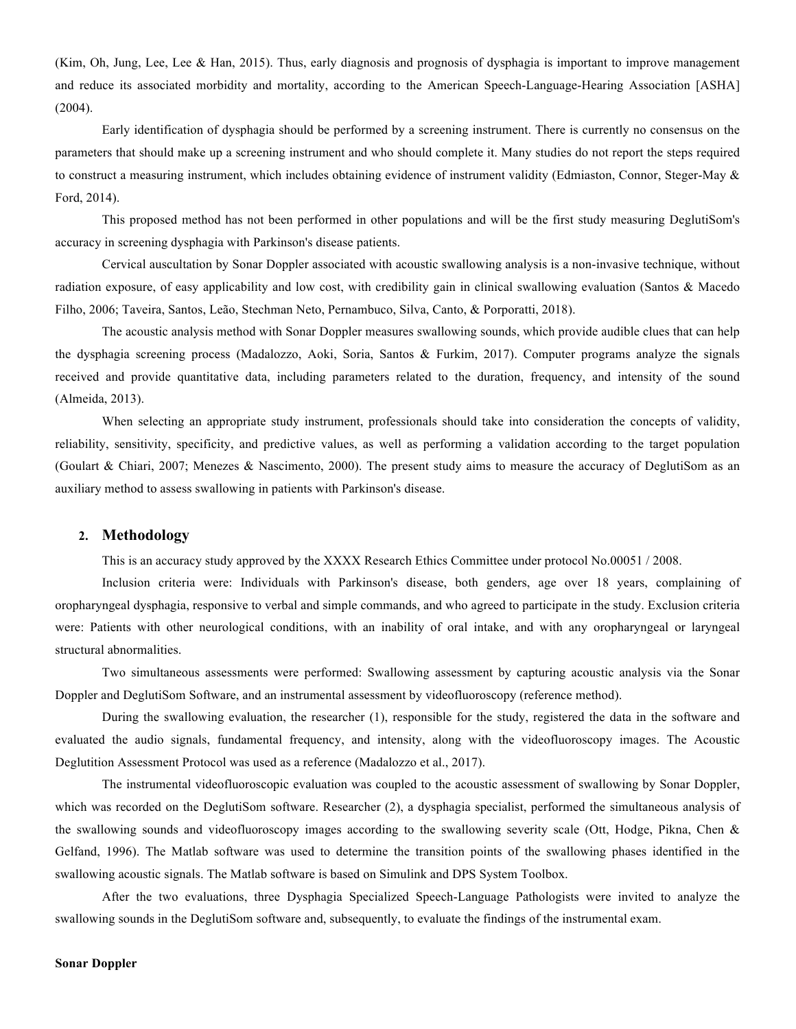(Kim, Oh, Jung, Lee, Lee & Han, 2015). Thus, early diagnosis and prognosis of dysphagia is important to improve management and reduce its associated morbidity and mortality, according to the American Speech-Language-Hearing Association [ASHA] (2004).

Early identification of dysphagia should be performed by a screening instrument. There is currently no consensus on the parameters that should make up a screening instrument and who should complete it. Many studies do not report the steps required to construct a measuring instrument, which includes obtaining evidence of instrument validity (Edmiaston, Connor, Steger-May & Ford, 2014).

This proposed method has not been performed in other populations and will be the first study measuring DeglutiSom's accuracy in screening dysphagia with Parkinson's disease patients.

Cervical auscultation by Sonar Doppler associated with acoustic swallowing analysis is a non-invasive technique, without radiation exposure, of easy applicability and low cost, with credibility gain in clinical swallowing evaluation (Santos & Macedo Filho, 2006; Taveira, Santos, Leão, Stechman Neto, Pernambuco, Silva, Canto, & Porporatti, 2018).

The acoustic analysis method with Sonar Doppler measures swallowing sounds, which provide audible clues that can help the dysphagia screening process (Madalozzo, Aoki, Soria, Santos & Furkim, 2017). Computer programs analyze the signals received and provide quantitative data, including parameters related to the duration, frequency, and intensity of the sound (Almeida, 2013).

When selecting an appropriate study instrument, professionals should take into consideration the concepts of validity, reliability, sensitivity, specificity, and predictive values, as well as performing a validation according to the target population (Goulart & Chiari, 2007; Menezes & Nascimento, 2000). The present study aims to measure the accuracy of DeglutiSom as an auxiliary method to assess swallowing in patients with Parkinson's disease.

## **2. Methodology**

This is an accuracy study approved by the XXXX Research Ethics Committee under protocol No.00051 / 2008.

Inclusion criteria were: Individuals with Parkinson's disease, both genders, age over 18 years, complaining of oropharyngeal dysphagia, responsive to verbal and simple commands, and who agreed to participate in the study. Exclusion criteria were: Patients with other neurological conditions, with an inability of oral intake, and with any oropharyngeal or laryngeal structural abnormalities.

Two simultaneous assessments were performed: Swallowing assessment by capturing acoustic analysis via the Sonar Doppler and DeglutiSom Software, and an instrumental assessment by videofluoroscopy (reference method).

During the swallowing evaluation, the researcher (1), responsible for the study, registered the data in the software and evaluated the audio signals, fundamental frequency, and intensity, along with the videofluoroscopy images. The Acoustic Deglutition Assessment Protocol was used as a reference (Madalozzo et al., 2017).

The instrumental videofluoroscopic evaluation was coupled to the acoustic assessment of swallowing by Sonar Doppler, which was recorded on the DeglutiSom software. Researcher (2), a dysphagia specialist, performed the simultaneous analysis of the swallowing sounds and videofluoroscopy images according to the swallowing severity scale (Ott, Hodge, Pikna, Chen & Gelfand, 1996). The Matlab software was used to determine the transition points of the swallowing phases identified in the swallowing acoustic signals. The Matlab software is based on Simulink and DPS System Toolbox.

After the two evaluations, three Dysphagia Specialized Speech-Language Pathologists were invited to analyze the swallowing sounds in the DeglutiSom software and, subsequently, to evaluate the findings of the instrumental exam.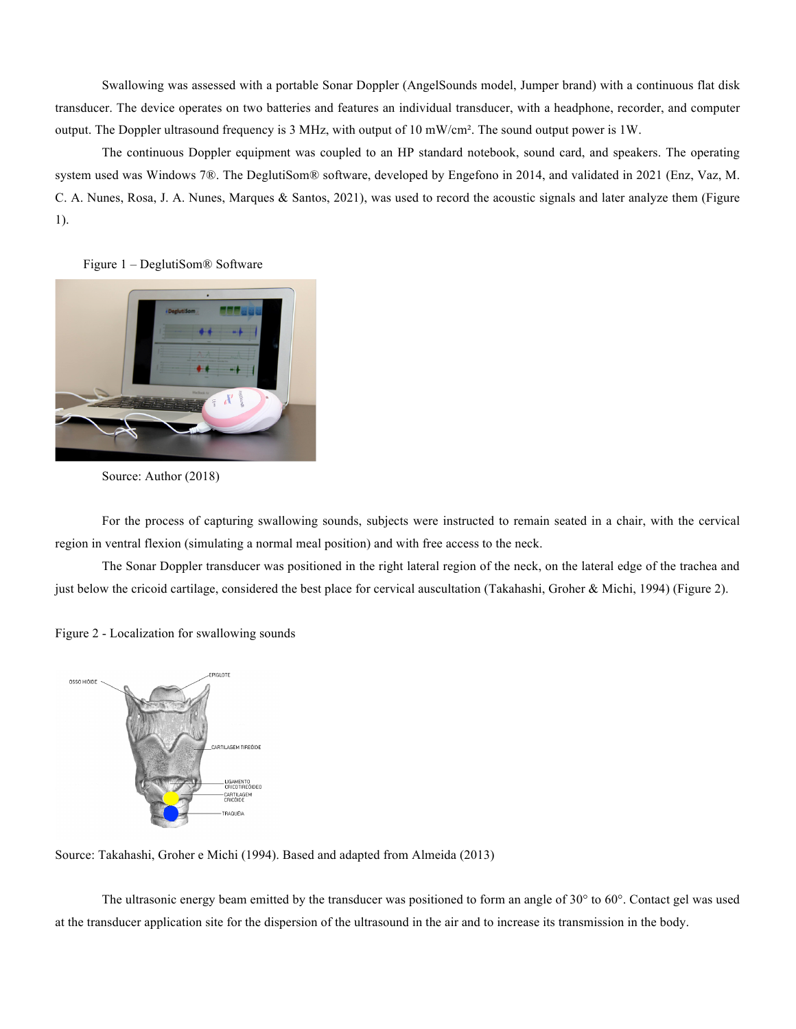Swallowing was assessed with a portable Sonar Doppler (AngelSounds model, Jumper brand) with a continuous flat disk transducer. The device operates on two batteries and features an individual transducer, with a headphone, recorder, and computer output. The Doppler ultrasound frequency is 3 MHz, with output of 10 mW/cm². The sound output power is 1W.

The continuous Doppler equipment was coupled to an HP standard notebook, sound card, and speakers. The operating system used was Windows 7®. The DeglutiSom® software, developed by Engefono in 2014, and validated in 2021 (Enz, Vaz, M. C. A. Nunes, Rosa, J. A. Nunes, Marques & Santos, 2021), was used to record the acoustic signals and later analyze them (Figure 1).

Figure 1 – DeglutiSom® Software



Source: Author (2018)

For the process of capturing swallowing sounds, subjects were instructed to remain seated in a chair, with the cervical region in ventral flexion (simulating a normal meal position) and with free access to the neck.

The Sonar Doppler transducer was positioned in the right lateral region of the neck, on the lateral edge of the trachea and just below the cricoid cartilage, considered the best place for cervical auscultation (Takahashi, Groher & Michi, 1994) (Figure 2).





Source: Takahashi, Groher e Michi (1994). Based and adapted from Almeida (2013)

The ultrasonic energy beam emitted by the transducer was positioned to form an angle of 30° to 60°. Contact gel was used at the transducer application site for the dispersion of the ultrasound in the air and to increase its transmission in the body.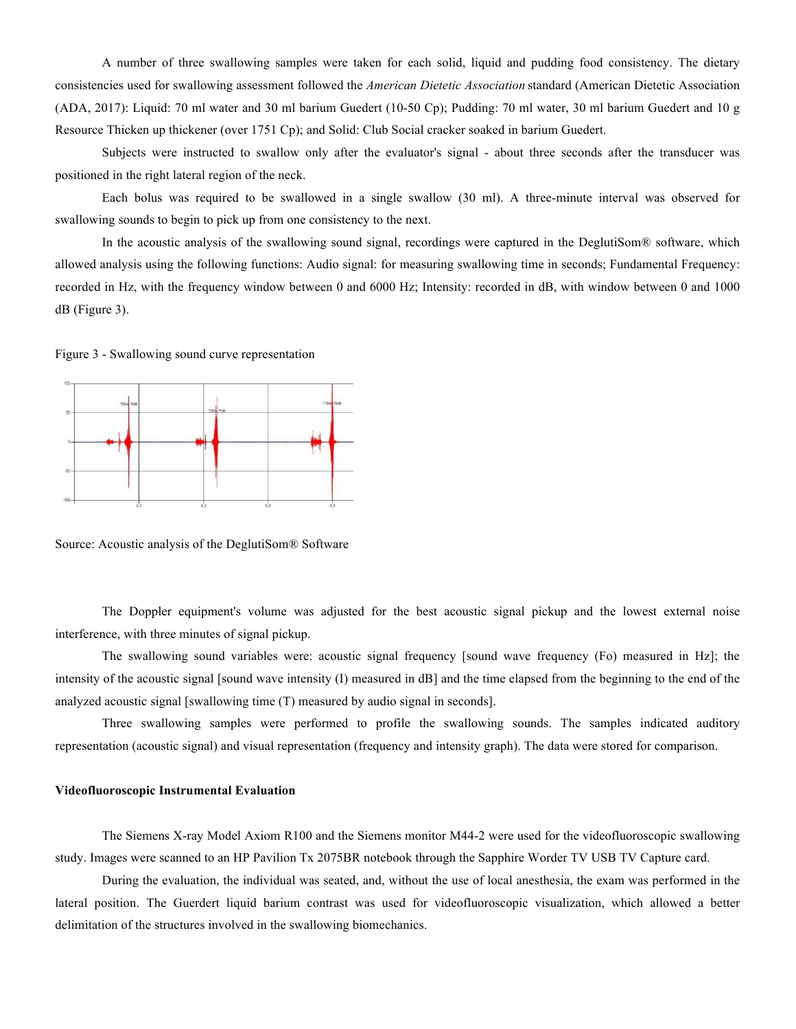A number of three swallowing samples were taken for each solid, liquid and pudding food consistency. The dietary consistencies used for swallowing assessment followed the *American Dietetic Association* standard (American Dietetic Association (ADA, 2017): Liquid: 70 ml water and 30 ml barium Guedert (10-50 Cp); Pudding: 70 ml water, 30 ml barium Guedert and 10 g Resource Thicken up thickener (over 1751 Cp); and Solid: Club Social cracker soaked in barium Guedert.

Subjects were instructed to swallow only after the evaluator's signal - about three seconds after the transducer was positioned in the right lateral region of the neck.

Each bolus was required to be swallowed in a single swallow (30 ml). A three-minute interval was observed for swallowing sounds to begin to pick up from one consistency to the next.

In the acoustic analysis of the swallowing sound signal, recordings were captured in the DeglutiSom® software, which allowed analysis using the following functions: Audio signal: for measuring swallowing time in seconds; Fundamental Frequency: recorded in Hz, with the frequency window between 0 and 6000 Hz; Intensity: recorded in dB, with window between 0 and 1000 dB (Figure 3).

Figure 3 - Swallowing sound curve representation



Source: Acoustic analysis of the DeglutiSom® Software

The Doppler equipment's volume was adjusted for the best acoustic signal pickup and the lowest external noise interference, with three minutes of signal pickup.

The swallowing sound variables were: acoustic signal frequency [sound wave frequency (Fo) measured in Hz]; the intensity of the acoustic signal [sound wave intensity (I) measured in dB] and the time elapsed from the beginning to the end of the analyzed acoustic signal [swallowing time (T) measured by audio signal in seconds].

Three swallowing samples were performed to profile the swallowing sounds. The samples indicated auditory representation (acoustic signal) and visual representation (frequency and intensity graph). The data were stored for comparison.

#### **Videofluoroscopic Instrumental Evaluation**

The Siemens X-ray Model Axiom R100 and the Siemens monitor M44-2 were used for the videofluoroscopic swallowing study. Images were scanned to an HP Pavilion Tx 2075BR notebook through the Sapphire Worder TV USB TV Capture card.

During the evaluation, the individual was seated, and, without the use of local anesthesia, the exam was performed in the lateral position. The Guerdert liquid barium contrast was used for videofluoroscopic visualization, which allowed a better delimitation of the structures involved in the swallowing biomechanics.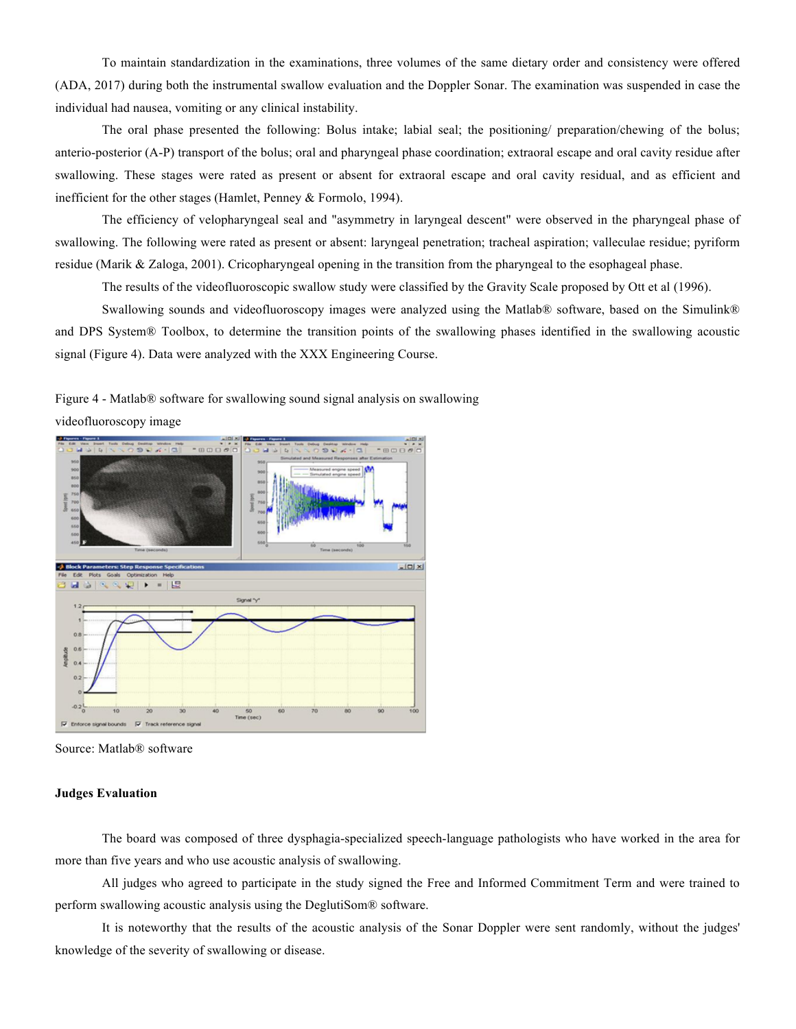To maintain standardization in the examinations, three volumes of the same dietary order and consistency were offered (ADA, 2017) during both the instrumental swallow evaluation and the Doppler Sonar. The examination was suspended in case the individual had nausea, vomiting or any clinical instability.

The oral phase presented the following: Bolus intake; labial seal; the positioning/ preparation/chewing of the bolus; anterio-posterior (A-P) transport of the bolus; oral and pharyngeal phase coordination; extraoral escape and oral cavity residue after swallowing. These stages were rated as present or absent for extraoral escape and oral cavity residual, and as efficient and inefficient for the other stages (Hamlet, Penney & Formolo, 1994).

The efficiency of velopharyngeal seal and "asymmetry in laryngeal descent" were observed in the pharyngeal phase of swallowing. The following were rated as present or absent: laryngeal penetration; tracheal aspiration; valleculae residue; pyriform residue (Marik & Zaloga, 2001). Cricopharyngeal opening in the transition from the pharyngeal to the esophageal phase.

The results of the videofluoroscopic swallow study were classified by the Gravity Scale proposed by Ott et al (1996).

Swallowing sounds and videofluoroscopy images were analyzed using the Matlab® software, based on the Simulink® and DPS System® Toolbox, to determine the transition points of the swallowing phases identified in the swallowing acoustic signal (Figure 4). Data were analyzed with the XXX Engineering Course.

Figure 4 - Matlab® software for swallowing sound signal analysis on swallowing videofluoroscopy image



Source: Matlab® software

#### **Judges Evaluation**

The board was composed of three dysphagia-specialized speech-language pathologists who have worked in the area for more than five years and who use acoustic analysis of swallowing.

All judges who agreed to participate in the study signed the Free and Informed Commitment Term and were trained to perform swallowing acoustic analysis using the DeglutiSom® software.

It is noteworthy that the results of the acoustic analysis of the Sonar Doppler were sent randomly, without the judges' knowledge of the severity of swallowing or disease.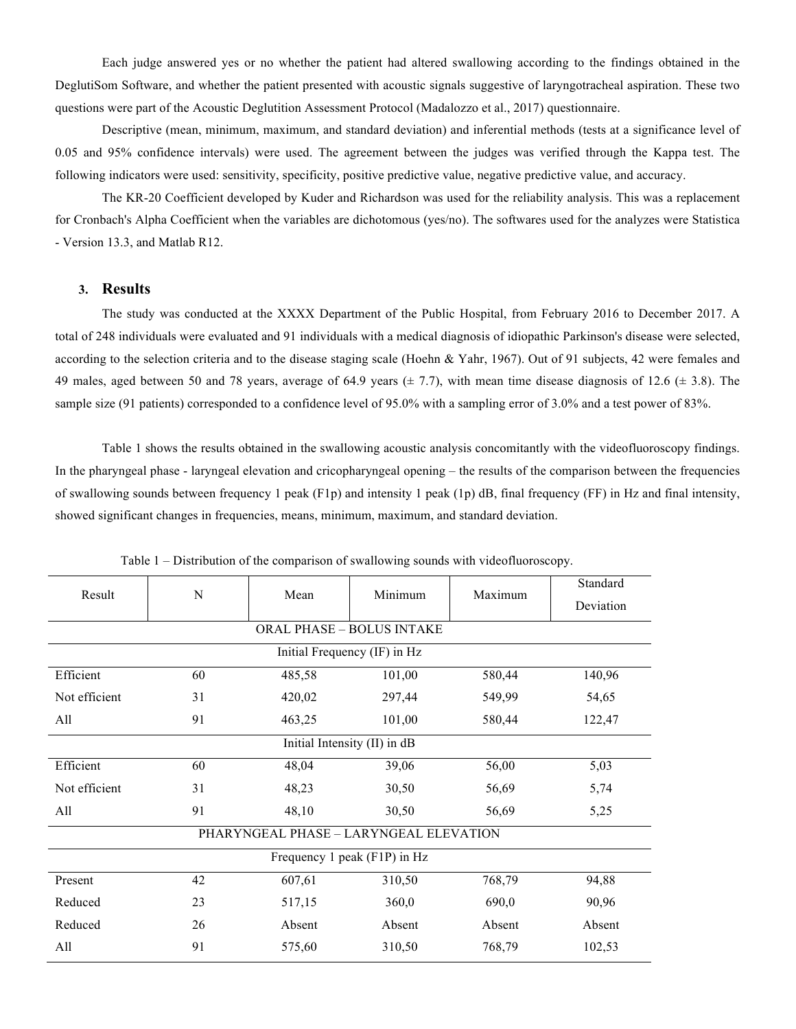Each judge answered yes or no whether the patient had altered swallowing according to the findings obtained in the DeglutiSom Software, and whether the patient presented with acoustic signals suggestive of laryngotracheal aspiration. These two questions were part of the Acoustic Deglutition Assessment Protocol (Madalozzo et al., 2017) questionnaire.

Descriptive (mean, minimum, maximum, and standard deviation) and inferential methods (tests at a significance level of 0.05 and 95% confidence intervals) were used. The agreement between the judges was verified through the Kappa test. The following indicators were used: sensitivity, specificity, positive predictive value, negative predictive value, and accuracy.

The KR-20 Coefficient developed by Kuder and Richardson was used for the reliability analysis. This was a replacement for Cronbach's Alpha Coefficient when the variables are dichotomous (yes/no). The softwares used for the analyzes were Statistica - Version 13.3, and Matlab R12.

## **3. Results**

The study was conducted at the XXXX Department of the Public Hospital, from February 2016 to December 2017. A total of 248 individuals were evaluated and 91 individuals with a medical diagnosis of idiopathic Parkinson's disease were selected, according to the selection criteria and to the disease staging scale (Hoehn & Yahr, 1967). Out of 91 subjects, 42 were females and 49 males, aged between 50 and 78 years, average of 64.9 years  $(\pm 7.7)$ , with mean time disease diagnosis of 12.6  $(\pm 3.8)$ . The sample size (91 patients) corresponded to a confidence level of 95.0% with a sampling error of 3.0% and a test power of 83%.

Table 1 shows the results obtained in the swallowing acoustic analysis concomitantly with the videofluoroscopy findings. In the pharyngeal phase - laryngeal elevation and cricopharyngeal opening – the results of the comparison between the frequencies of swallowing sounds between frequency 1 peak (F1p) and intensity 1 peak (1p) dB, final frequency (FF) in Hz and final intensity, showed significant changes in frequencies, means, minimum, maximum, and standard deviation.

| Result                                 | N  |                |                  |         | Standard  |  |  |  |  |
|----------------------------------------|----|----------------|------------------|---------|-----------|--|--|--|--|
|                                        |    | Mean           | Minimum          | Maximum | Deviation |  |  |  |  |
| <b>ORAL PHASE - BOLUS INTAKE</b>       |    |                |                  |         |           |  |  |  |  |
| Initial Frequency (IF) in Hz           |    |                |                  |         |           |  |  |  |  |
| Efficient                              | 60 | 485,58         | 101,00           | 580,44  | 140,96    |  |  |  |  |
| Not efficient                          | 31 | 420,02         | 297,44           | 549,99  | 54,65     |  |  |  |  |
| All                                    | 91 | 463,25         | 101,00<br>580,44 |         | 122,47    |  |  |  |  |
| Initial Intensity (II) in dB           |    |                |                  |         |           |  |  |  |  |
| Efficient                              | 60 | 39,06<br>48,04 |                  | 56,00   | 5,03      |  |  |  |  |
| Not efficient                          | 31 | 48,23          | 30,50            | 56,69   | 5,74      |  |  |  |  |
| 91<br>All                              |    | 48,10          | 30,50            |         | 5,25      |  |  |  |  |
| PHARYNGEAL PHASE - LARYNGEAL ELEVATION |    |                |                  |         |           |  |  |  |  |
| Frequency 1 peak (F1P) in Hz           |    |                |                  |         |           |  |  |  |  |
| Present                                | 42 | 607,61         | 310,50           | 768,79  | 94,88     |  |  |  |  |
| Reduced                                | 23 | 517,15         | 360,0            | 690,0   | 90,96     |  |  |  |  |
| Reduced                                | 26 | Absent         | Absent           | Absent  | Absent    |  |  |  |  |
| All<br>91<br>575,60                    |    |                | 310,50           | 768,79  | 102,53    |  |  |  |  |

Table 1 – Distribution of the comparison of swallowing sounds with videofluoroscopy.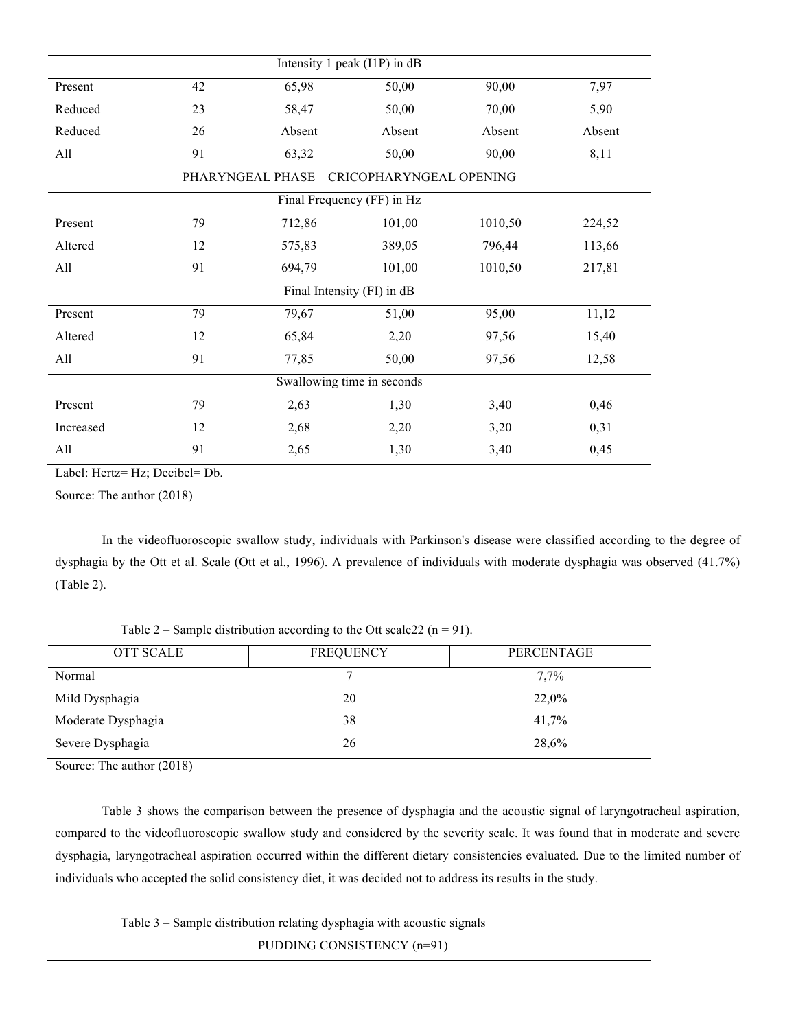| Intensity 1 peak (I1P) in dB |    |                                            |        |         |        |  |  |  |
|------------------------------|----|--------------------------------------------|--------|---------|--------|--|--|--|
| Present                      | 42 | 65,98                                      | 50,00  | 90,00   | 7,97   |  |  |  |
| Reduced                      | 23 | 58,47                                      | 50,00  | 70,00   | 5,90   |  |  |  |
| Reduced                      | 26 | Absent                                     | Absent | Absent  | Absent |  |  |  |
| All                          | 91 | 63,32                                      | 50,00  | 90,00   | 8,11   |  |  |  |
|                              |    | PHARYNGEAL PHASE - CRICOPHARYNGEAL OPENING |        |         |        |  |  |  |
| Final Frequency (FF) in Hz   |    |                                            |        |         |        |  |  |  |
| Present                      | 79 | 712,86                                     | 101,00 | 1010,50 | 224,52 |  |  |  |
| Altered                      | 12 | 575,83                                     | 389,05 | 796,44  | 113,66 |  |  |  |
| All                          | 91 | 694,79                                     | 101,00 | 1010,50 | 217,81 |  |  |  |
| Final Intensity (FI) in dB   |    |                                            |        |         |        |  |  |  |
| Present                      | 79 | 79,67                                      | 51,00  | 95,00   | 11,12  |  |  |  |
| Altered                      | 12 | 65,84                                      | 2,20   | 97,56   | 15,40  |  |  |  |
| All                          | 91 | 77,85                                      | 50,00  | 97,56   | 12,58  |  |  |  |
| Swallowing time in seconds   |    |                                            |        |         |        |  |  |  |
| Present                      | 79 | 2,63                                       | 1,30   | 3,40    | 0,46   |  |  |  |
| Increased                    | 12 | 2,68                                       | 2,20   | 3,20    | 0,31   |  |  |  |
| All                          | 91 | 2,65                                       | 1,30   | 3,40    | 0,45   |  |  |  |

Label: Hertz= Hz; Decibel= Db.

Source: The author (2018)

In the videofluoroscopic swallow study, individuals with Parkinson's disease were classified according to the degree of dysphagia by the Ott et al. Scale (Ott et al., 1996). A prevalence of individuals with moderate dysphagia was observed (41.7%) (Table 2).

Table 2 – Sample distribution according to the Ott scale 22 ( $n = 91$ ).

| <b>OTT SCALE</b>   | <b>FREQUENCY</b> | PERCENTAGE |
|--------------------|------------------|------------|
| Normal             |                  | $7.7\%$    |
| Mild Dysphagia     | 20               | 22,0%      |
| Moderate Dysphagia | 38               | 41,7%      |
| Severe Dysphagia   | 26               | 28,6%      |

Source: The author (2018)

Table 3 shows the comparison between the presence of dysphagia and the acoustic signal of laryngotracheal aspiration, compared to the videofluoroscopic swallow study and considered by the severity scale. It was found that in moderate and severe dysphagia, laryngotracheal aspiration occurred within the different dietary consistencies evaluated. Due to the limited number of individuals who accepted the solid consistency diet, it was decided not to address its results in the study.

Table 3 – Sample distribution relating dysphagia with acoustic signals

PUDDING CONSISTENCY (n=91)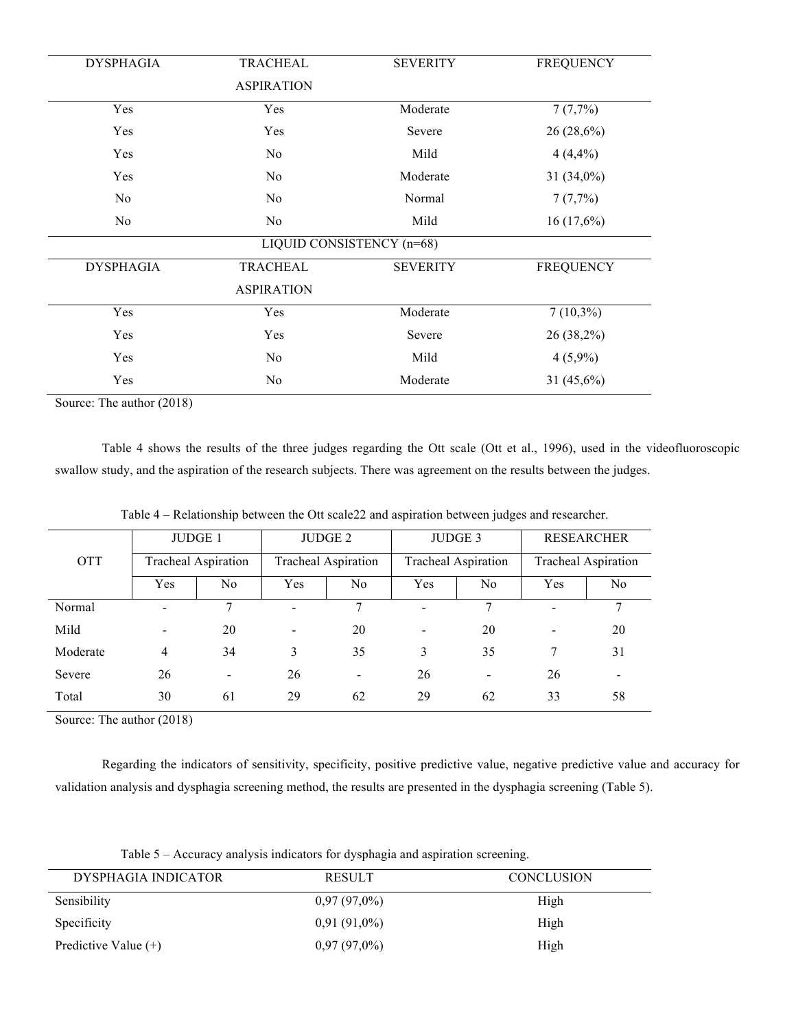| <b>DYSPHAGIA</b><br><b>TRACHEAL</b> |                           | <b>SEVERITY</b> | <b>FREQUENCY</b> |
|-------------------------------------|---------------------------|-----------------|------------------|
|                                     | <b>ASPIRATION</b>         |                 |                  |
| Yes                                 | Yes                       | Moderate        | 7(7,7%)          |
| Yes                                 | Yes                       | Severe          | $26(28,6\%)$     |
| Yes                                 | No.                       | Mild            | 4(4,4%)          |
| Yes                                 | N <sub>0</sub>            | Moderate        | $31(34,0\%)$     |
| N <sub>0</sub><br>N <sub>0</sub>    |                           | Normal          | 7(7,7%)          |
| No<br>N <sub>0</sub>                |                           | Mild            | 16(17,6%)        |
|                                     | LIQUID CONSISTENCY (n=68) |                 |                  |
| <b>DYSPHAGIA</b>                    | <b>TRACHEAL</b>           | <b>SEVERITY</b> | <b>FREQUENCY</b> |
|                                     | <b>ASPIRATION</b>         |                 |                  |
| Yes                                 | Yes                       | Moderate        | $7(10,3\%)$      |
| Yes                                 | Yes                       | Severe          | $26(38,2\%)$     |
| Yes                                 | N <sub>0</sub>            | Mild            | $4(5,9\%)$       |
| Yes                                 | N <sub>0</sub>            | Moderate        | 31 (45,6%)       |
|                                     |                           |                 |                  |

Source: The author (2018)

Table 4 shows the results of the three judges regarding the Ott scale (Ott et al., 1996), used in the videofluoroscopic swallow study, and the aspiration of the research subjects. There was agreement on the results between the judges.

|            | <b>JUDGE 1</b>           |                            | JUDGE 2                  |                          | JUDGE 3                    |                          | <b>RESEARCHER</b>          |                          |
|------------|--------------------------|----------------------------|--------------------------|--------------------------|----------------------------|--------------------------|----------------------------|--------------------------|
| <b>OTT</b> |                          | <b>Tracheal Aspiration</b> | Tracheal Aspiration      |                          | <b>Tracheal Aspiration</b> |                          | <b>Tracheal Aspiration</b> |                          |
|            | Yes                      | N <sub>0</sub>             | Yes                      | No.                      | Yes                        | No.                      | Yes                        | N <sub>0</sub>           |
| Normal     | $\blacksquare$           | 7                          | $\blacksquare$           | 7                        | $\blacksquare$             | 7                        | $\overline{\phantom{a}}$   | 7                        |
| Mild       | $\overline{\phantom{a}}$ | 20                         | $\overline{\phantom{a}}$ | 20                       | $\blacksquare$             | 20                       | $\overline{\phantom{a}}$   | 20                       |
| Moderate   | 4                        | 34                         | 3                        | 35                       | 3                          | 35                       | 7                          | 31                       |
| Severe     | 26                       | $\blacksquare$             | 26                       | $\overline{\phantom{a}}$ | 26                         | $\overline{\phantom{a}}$ | 26                         | $\overline{\phantom{a}}$ |
| Total      | 30                       | 61                         | 29                       | 62                       | 29                         | 62                       | 33                         | 58                       |

Table 4 – Relationship between the Ott scale22 and aspiration between judges and researcher.

Source: The author (2018)

Regarding the indicators of sensitivity, specificity, positive predictive value, negative predictive value and accuracy for validation analysis and dysphagia screening method, the results are presented in the dysphagia screening (Table 5).

| Table 5 – Accuracy analysis indicators for dysphagia and aspiration screening. |  |  |  |  |
|--------------------------------------------------------------------------------|--|--|--|--|

| DYSPHAGIA INDICATOR    | <b>RESULT</b>  | <b>CONCLUSION</b> |
|------------------------|----------------|-------------------|
| Sensibility            | $0,97(97,0\%)$ | High              |
| Specificity            | $0,91(91,0\%)$ | High              |
| Predictive Value $(+)$ | $0,97(97,0\%)$ | High              |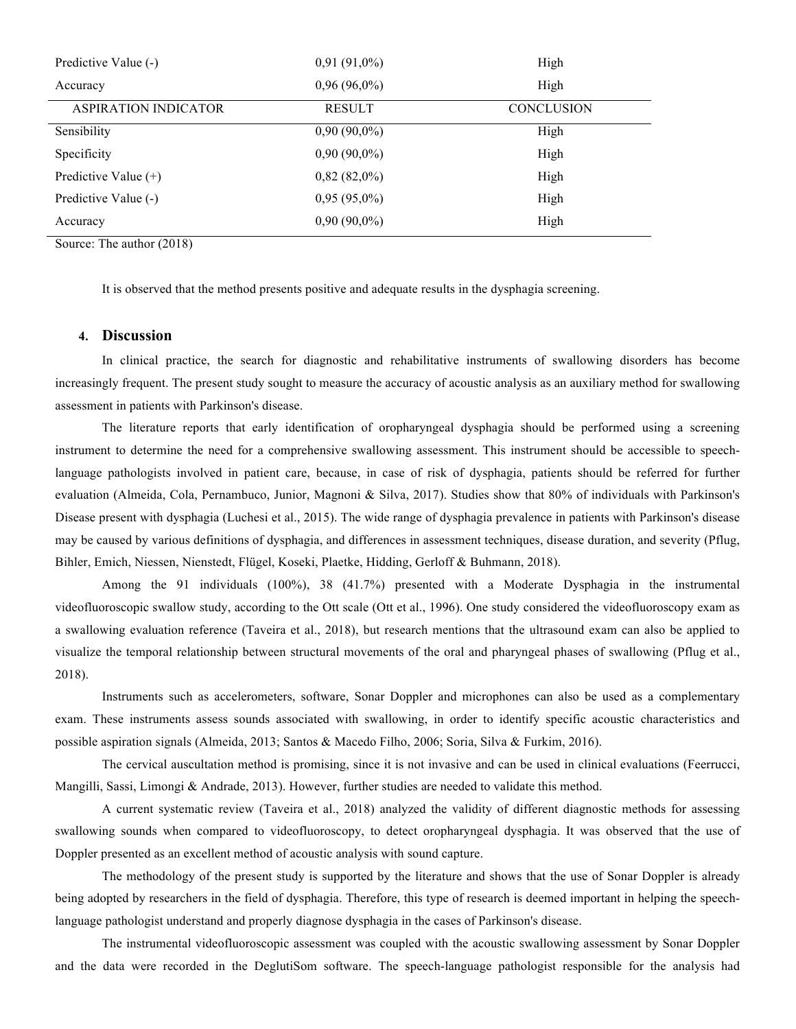| Predictive Value (-)   | $0,91(91,0\%)$ | High              |
|------------------------|----------------|-------------------|
| Accuracy               | $0,96(96,0\%)$ | High              |
| ASPIRATION INDICATOR   | <b>RESULT</b>  | <b>CONCLUSION</b> |
| Sensibility            | $0,90(90,0\%)$ | High              |
| Specificity            | $0,90(90,0\%)$ | High              |
| Predictive Value $(+)$ | $0,82(82,0\%)$ | High              |
| Predictive Value (-)   | $0,95(95,0\%)$ | High              |
| Accuracy               | $0,90(90,0\%)$ | High              |

Source: The author (2018)

It is observed that the method presents positive and adequate results in the dysphagia screening.

## **4. Discussion**

In clinical practice, the search for diagnostic and rehabilitative instruments of swallowing disorders has become increasingly frequent. The present study sought to measure the accuracy of acoustic analysis as an auxiliary method for swallowing assessment in patients with Parkinson's disease.

The literature reports that early identification of oropharyngeal dysphagia should be performed using a screening instrument to determine the need for a comprehensive swallowing assessment. This instrument should be accessible to speechlanguage pathologists involved in patient care, because, in case of risk of dysphagia, patients should be referred for further evaluation (Almeida, Cola, Pernambuco, Junior, Magnoni & Silva, 2017). Studies show that 80% of individuals with Parkinson's Disease present with dysphagia (Luchesi et al., 2015). The wide range of dysphagia prevalence in patients with Parkinson's disease may be caused by various definitions of dysphagia, and differences in assessment techniques, disease duration, and severity (Pflug, Bihler, Emich, Niessen, Nienstedt, Flügel, Koseki, Plaetke, Hidding, Gerloff & Buhmann, 2018).

Among the 91 individuals (100%), 38 (41.7%) presented with a Moderate Dysphagia in the instrumental videofluoroscopic swallow study, according to the Ott scale (Ott et al., 1996). One study considered the videofluoroscopy exam as a swallowing evaluation reference (Taveira et al., 2018), but research mentions that the ultrasound exam can also be applied to visualize the temporal relationship between structural movements of the oral and pharyngeal phases of swallowing (Pflug et al., 2018).

Instruments such as accelerometers, software, Sonar Doppler and microphones can also be used as a complementary exam. These instruments assess sounds associated with swallowing, in order to identify specific acoustic characteristics and possible aspiration signals (Almeida, 2013; Santos & Macedo Filho, 2006; Soria, Silva & Furkim, 2016).

The cervical auscultation method is promising, since it is not invasive and can be used in clinical evaluations (Feerrucci, Mangilli, Sassi, Limongi & Andrade, 2013). However, further studies are needed to validate this method.

A current systematic review (Taveira et al., 2018) analyzed the validity of different diagnostic methods for assessing swallowing sounds when compared to videofluoroscopy, to detect oropharyngeal dysphagia. It was observed that the use of Doppler presented as an excellent method of acoustic analysis with sound capture.

The methodology of the present study is supported by the literature and shows that the use of Sonar Doppler is already being adopted by researchers in the field of dysphagia. Therefore, this type of research is deemed important in helping the speechlanguage pathologist understand and properly diagnose dysphagia in the cases of Parkinson's disease.

The instrumental videofluoroscopic assessment was coupled with the acoustic swallowing assessment by Sonar Doppler and the data were recorded in the DeglutiSom software. The speech-language pathologist responsible for the analysis had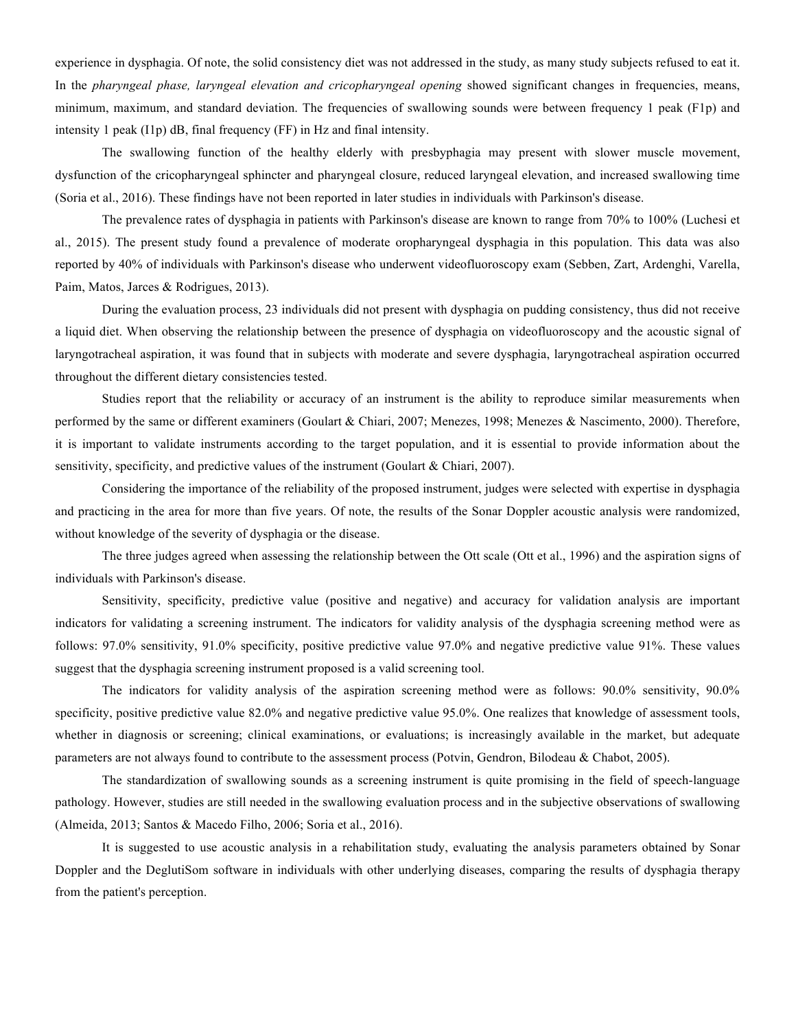experience in dysphagia. Of note, the solid consistency diet was not addressed in the study, as many study subjects refused to eat it. In the *pharyngeal phase, laryngeal elevation and cricopharyngeal opening* showed significant changes in frequencies, means, minimum, maximum, and standard deviation. The frequencies of swallowing sounds were between frequency 1 peak (F1p) and intensity 1 peak (I1p) dB, final frequency (FF) in Hz and final intensity.

The swallowing function of the healthy elderly with presbyphagia may present with slower muscle movement, dysfunction of the cricopharyngeal sphincter and pharyngeal closure, reduced laryngeal elevation, and increased swallowing time (Soria et al., 2016). These findings have not been reported in later studies in individuals with Parkinson's disease.

The prevalence rates of dysphagia in patients with Parkinson's disease are known to range from 70% to 100% (Luchesi et al., 2015). The present study found a prevalence of moderate oropharyngeal dysphagia in this population. This data was also reported by 40% of individuals with Parkinson's disease who underwent videofluoroscopy exam (Sebben, Zart, Ardenghi, Varella, Paim, Matos, Jarces & Rodrigues, 2013).

During the evaluation process, 23 individuals did not present with dysphagia on pudding consistency, thus did not receive a liquid diet. When observing the relationship between the presence of dysphagia on videofluoroscopy and the acoustic signal of laryngotracheal aspiration, it was found that in subjects with moderate and severe dysphagia, laryngotracheal aspiration occurred throughout the different dietary consistencies tested.

Studies report that the reliability or accuracy of an instrument is the ability to reproduce similar measurements when performed by the same or different examiners (Goulart & Chiari, 2007; Menezes, 1998; Menezes & Nascimento, 2000). Therefore, it is important to validate instruments according to the target population, and it is essential to provide information about the sensitivity, specificity, and predictive values of the instrument (Goulart & Chiari, 2007).

Considering the importance of the reliability of the proposed instrument, judges were selected with expertise in dysphagia and practicing in the area for more than five years. Of note, the results of the Sonar Doppler acoustic analysis were randomized, without knowledge of the severity of dysphagia or the disease.

The three judges agreed when assessing the relationship between the Ott scale (Ott et al., 1996) and the aspiration signs of individuals with Parkinson's disease.

Sensitivity, specificity, predictive value (positive and negative) and accuracy for validation analysis are important indicators for validating a screening instrument. The indicators for validity analysis of the dysphagia screening method were as follows: 97.0% sensitivity, 91.0% specificity, positive predictive value 97.0% and negative predictive value 91%. These values suggest that the dysphagia screening instrument proposed is a valid screening tool.

The indicators for validity analysis of the aspiration screening method were as follows: 90.0% sensitivity, 90.0% specificity, positive predictive value 82.0% and negative predictive value 95.0%. One realizes that knowledge of assessment tools, whether in diagnosis or screening; clinical examinations, or evaluations; is increasingly available in the market, but adequate parameters are not always found to contribute to the assessment process (Potvin, Gendron, Bilodeau & Chabot, 2005).

The standardization of swallowing sounds as a screening instrument is quite promising in the field of speech-language pathology. However, studies are still needed in the swallowing evaluation process and in the subjective observations of swallowing (Almeida, 2013; Santos & Macedo Filho, 2006; Soria et al., 2016).

It is suggested to use acoustic analysis in a rehabilitation study, evaluating the analysis parameters obtained by Sonar Doppler and the DeglutiSom software in individuals with other underlying diseases, comparing the results of dysphagia therapy from the patient's perception.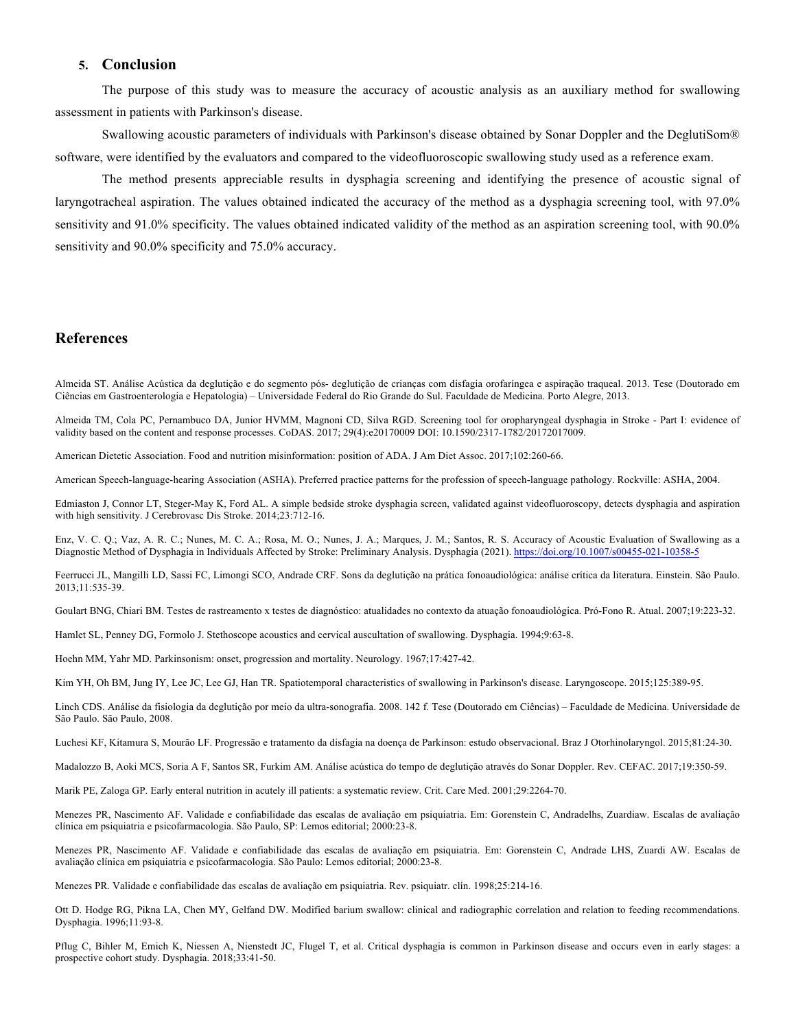## **5. Conclusion**

The purpose of this study was to measure the accuracy of acoustic analysis as an auxiliary method for swallowing assessment in patients with Parkinson's disease.

Swallowing acoustic parameters of individuals with Parkinson's disease obtained by Sonar Doppler and the DeglutiSom® software, were identified by the evaluators and compared to the videofluoroscopic swallowing study used as a reference exam.

The method presents appreciable results in dysphagia screening and identifying the presence of acoustic signal of laryngotracheal aspiration. The values obtained indicated the accuracy of the method as a dysphagia screening tool, with 97.0% sensitivity and 91.0% specificity. The values obtained indicated validity of the method as an aspiration screening tool, with 90.0% sensitivity and 90.0% specificity and 75.0% accuracy.

## **References**

Almeida ST. Análise Acústica da deglutição e do segmento pós- deglutição de crianças com disfagia orofaríngea e aspiração traqueal. 2013. Tese (Doutorado em Ciências em Gastroenterologia e Hepatologia) – Universidade Federal do Rio Grande do Sul. Faculdade de Medicina. Porto Alegre, 2013.

Almeida TM, Cola PC, Pernambuco DA, Junior HVMM, Magnoni CD, Silva RGD. Screening tool for oropharyngeal dysphagia in Stroke - Part I: evidence of validity based on the content and response processes. CoDAS. 2017; 29(4):e20170009 DOI: 10.1590/2317-1782/20172017009.

American Dietetic Association. Food and nutrition misinformation: position of ADA. J Am Diet Assoc. 2017;102:260-66.

American Speech-language-hearing Association (ASHA). Preferred practice patterns for the profession of speech-language pathology. Rockville: ASHA, 2004.

Edmiaston J, Connor LT, Steger-May K, Ford AL. A simple bedside stroke dysphagia screen, validated against videofluoroscopy, detects dysphagia and aspiration with high sensitivity. J Cerebrovasc Dis Stroke. 2014;23:712-16.

Enz, V. C. Q.; Vaz, A. R. C.; Nunes, M. C. A.; Rosa, M. O.; Nunes, J. A.; Marques, J. M.; Santos, R. S. Accuracy of Acoustic Evaluation of Swallowing as a Diagnostic Method of Dysphagia in Individuals Affected by Stroke: Preliminary Analysis. Dysphagia (2021). https://doi.org/10.1007/s00455-021-10358-5

Feerrucci JL, Mangilli LD, Sassi FC, Limongi SCO, Andrade CRF. Sons da deglutição na prática fonoaudiológica: análise crítica da literatura. Einstein. São Paulo. 2013;11:535-39.

Goulart BNG, Chiari BM. Testes de rastreamento x testes de diagnóstico: atualidades no contexto da atuação fonoaudiológica. Pró-Fono R. Atual. 2007;19:223-32.

Hamlet SL, Penney DG, Formolo J. Stethoscope acoustics and cervical auscultation of swallowing. Dysphagia. 1994;9:63-8.

Hoehn MM, Yahr MD. Parkinsonism: onset, progression and mortality. Neurology. 1967;17:427-42.

Kim YH, Oh BM, Jung IY, Lee JC, Lee GJ, Han TR. Spatiotemporal characteristics of swallowing in Parkinson's disease. Laryngoscope. 2015;125:389-95.

Linch CDS. Análise da fisiologia da deglutição por meio da ultra-sonografia. 2008. 142 f. Tese (Doutorado em Ciências) – Faculdade de Medicina. Universidade de São Paulo. São Paulo, 2008.

Luchesi KF, Kitamura S, Mourão LF. Progressão e tratamento da disfagia na doença de Parkinson: estudo observacional. Braz J Otorhinolaryngol. 2015;81:24-30.

Madalozzo B, Aoki MCS, Soria A F, Santos SR, Furkim AM. Análise acústica do tempo de deglutição através do Sonar Doppler. Rev. CEFAC. 2017;19:350-59.

Marik PE, Zaloga GP. Early enteral nutrition in acutely ill patients: a systematic review. Crit. Care Med. 2001;29:2264-70.

Menezes PR, Nascimento AF. Validade e confiabilidade das escalas de avaliação em psiquiatria. Em: Gorenstein C, Andradelhs, Zuardiaw. Escalas de avaliação clínica em psiquiatria e psicofarmacologia. São Paulo, SP: Lemos editorial; 2000:23-8.

Menezes PR, Nascimento AF. Validade e confiabilidade das escalas de avaliação em psiquiatria. Em: Gorenstein C, Andrade LHS, Zuardi AW. Escalas de avaliação clínica em psiquiatria e psicofarmacologia. São Paulo: Lemos editorial; 2000:23-8.

Menezes PR. Validade e confiabilidade das escalas de avaliação em psiquiatria. Rev. psiquiatr. clín. 1998;25:214-16.

Ott D. Hodge RG, Pikna LA, Chen MY, Gelfand DW. Modified barium swallow: clinical and radiographic correlation and relation to feeding recommendations. Dysphagia. 1996;11:93-8.

Pflug C, Bihler M, Emich K, Niessen A, Nienstedt JC, Flugel T, et al. Critical dysphagia is common in Parkinson disease and occurs even in early stages: a prospective cohort study. Dysphagia. 2018;33:41-50.